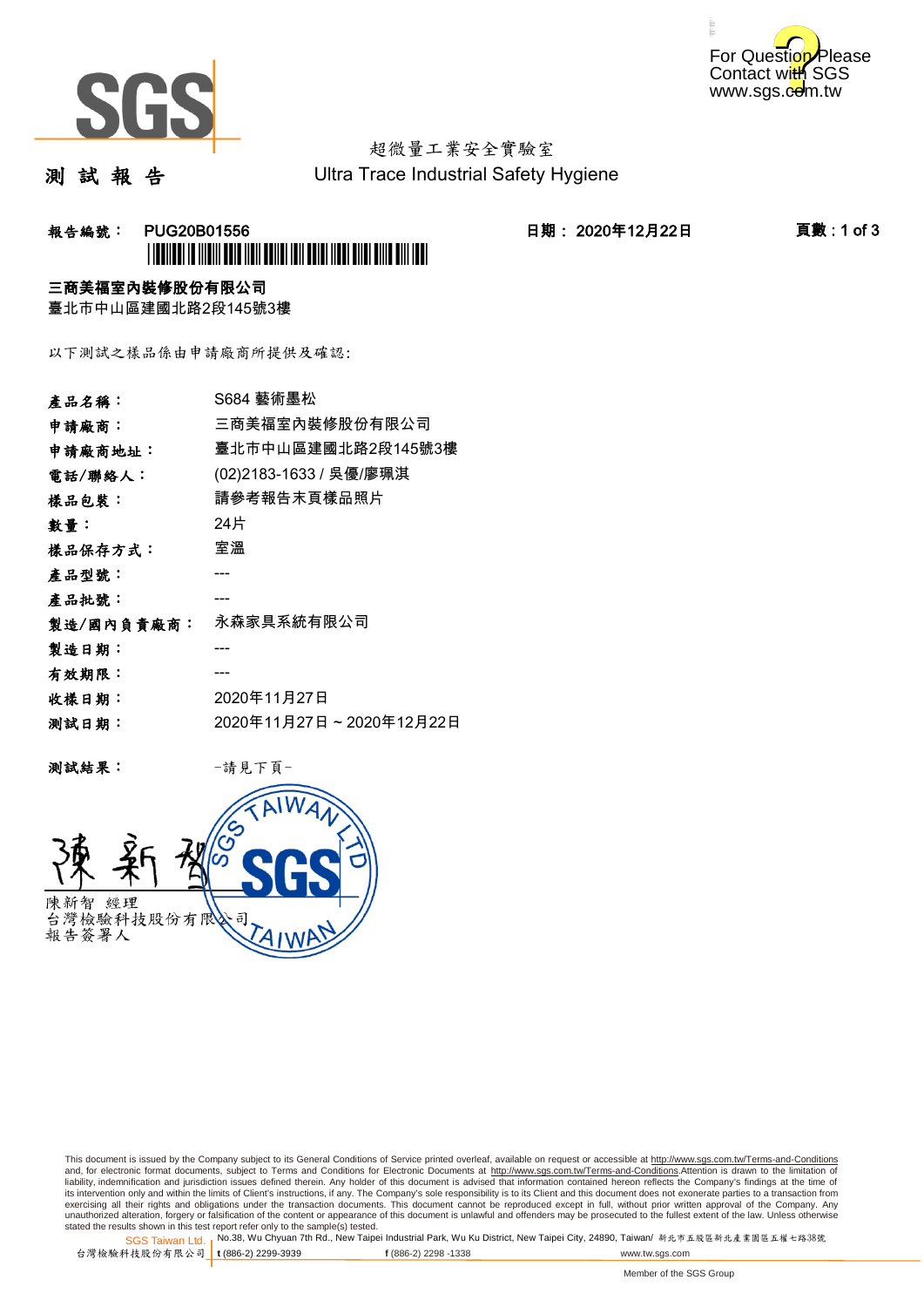



# 超微量工業安全實驗室

測 試 報 告

Ultra Trace Industrial Safety Hygiene

### **報告編號: PUG20B01556 日期: 2020年12月22日 頁數:1 of 3** \*PUG20B01556\*

#### 三商美福室內裝修股份有限公司

臺北市中山區建國北路2段145號3樓

以下測試之樣品係由申請廠商所提供及確認:

| 產品名稱:      | S684 藝術墨松               |
|------------|-------------------------|
| 申請廠商:      | 三商美福室內裝修股份有限公司          |
| 申請廠商地址:    | 臺北市中山區建國北路2段145號3樓      |
| 電話/聯絡人:    | (02)2183-1633 / 吳優/廖珮淇  |
| 樣品包裝:      | 請參考報告末頁樣品照片             |
| 數量:        | 24片                     |
| 樣品保存方式:    | 室溫                      |
| 產品型號:      |                         |
| 產品批號:      |                         |
| 製造/國內負責廠商: | 永森家具系統有限公司              |
| 製造日期:      |                         |
| 有效期限:      |                         |
| 收樣日期:      | 2020年11月27日             |
| 测試日期:      | 2020年11月27日~2020年12月22日 |
|            |                         |

测試結果: 一請見下頁



This document is issued by the Company subject to its General Conditions of Service printed overleaf, available on request or accessible at http://www.sgs.com.tw/Terms-and-Conditions and, for electronic format documents, subject to Terms and Conditions for Electronic Documents at <u>http://www.sgs.com.tw/Terms-and-Conditions</u>.Attention is drawn to the limitation of<br>liability, indemnification and jurisdic exercising all their rights and obligations under the transaction documents. This document cannot be reproduced except in full, without prior written approval of the Company. Any<br>unauthorized alteration, forgery or falsifi

SGS Taiwan Ltd. 1 stated the results shown in this test report refer only to the sample(s) tested.<br>Stated the results shown in this test report refer only to the sample(s) tested.

台灣檢驗科技股份有限公司

**t** (886-2) 2299-3939 **f** (886-2) 2298 -1338 www.tw.sgs.com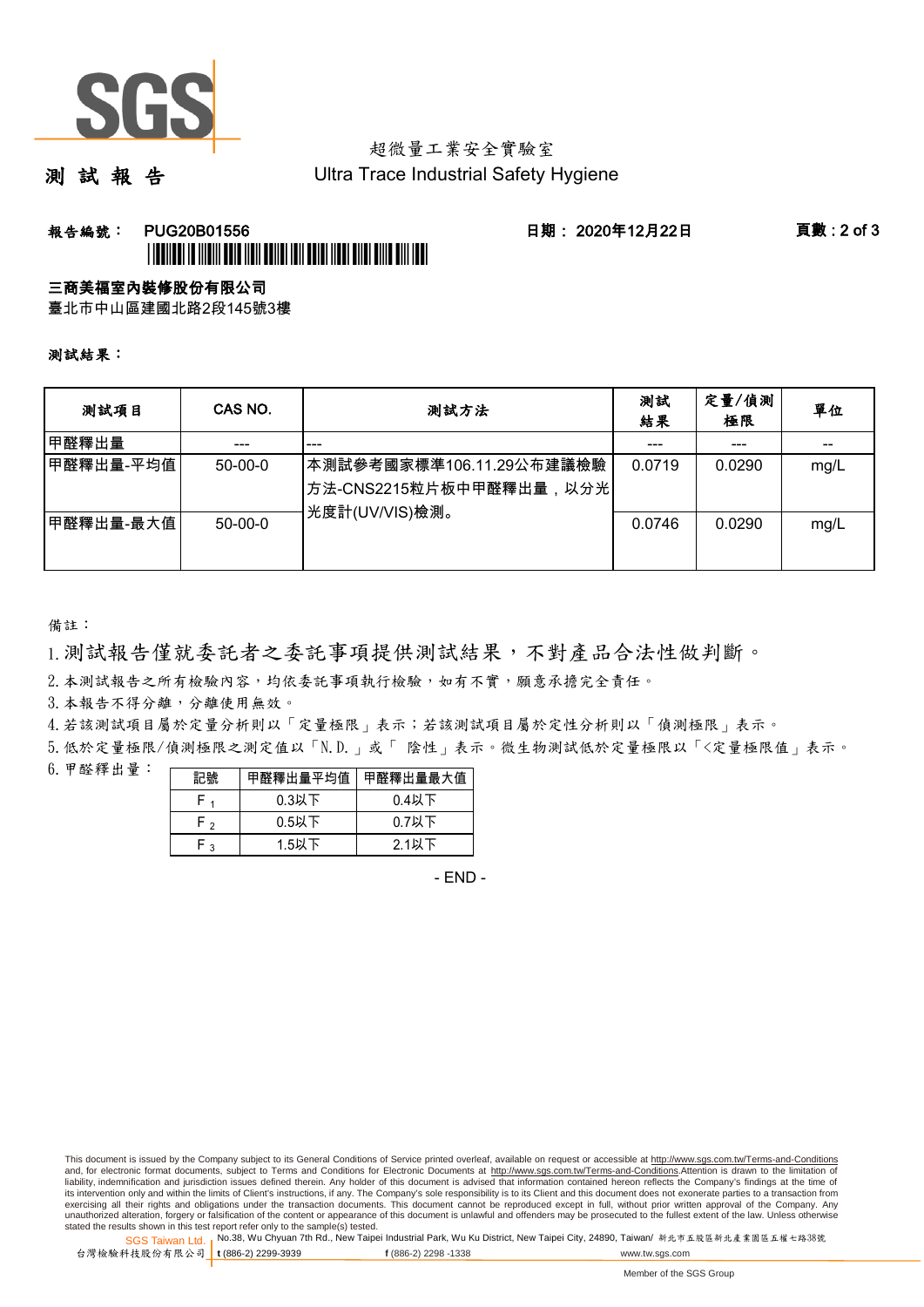

# 超微量工業安全實驗室

測 試 報 告

Ultra Trace Industrial Safety Hygiene

### **報告編號: PUG20B01556 日期: 2020年12月22日 頁數:2 of 3** \*PUGE AND A THEIR TELEVISION AND ALL TELEVISION AND ALL THE REAL PROPE

#### 三商美福室內裝修股份有限公司

臺北市中山區建國北路2段145號3樓

測試結果:

| 测試項目      | CAS NO.       | 測試方法                                                                                | 測試<br>結果 | 定量/偵測<br>極限 | 單位   |
|-----------|---------------|-------------------------------------------------------------------------------------|----------|-------------|------|
| 甲醛釋出量     |               | ---                                                                                 |          | ---         |      |
| 甲醛釋出量-平均值 | $50 - 00 - 0$ | 本測試參考國家標準106.11.29公布建議檢驗<br><sup> </sup> 方法-CNS2215粒片板中甲醛釋出量,以分光 <br>光度計(UV/VIS)檢測。 | 0.0719   | 0.0290      | mg/L |
| 甲醛釋出量-最大值 | $50 - 00 - 0$ |                                                                                     | 0.0746   | 0.0290      | mg/L |

備註:

1.測試報告僅就委託者之委託事項提供測試結果,不對產品合法性做判斷。

2.本測試報告之所有檢驗內容,均依委託事項執行檢驗,如有不實,願意承擔完全責任。

3. 本報告不得分離,分離使用無效。

4.若該測試項目屬於定量分析則以「定量極限」表示;若該測試項目屬於定性分析則以「偵測極限」表示。

5.低於定量極限/偵測極限之測定值以「N.D.」或「 陰性」表示。微生物測試低於定量極限以「<定量極限值」表示。

6.甲醛釋出量:

| 記號  | 甲醛釋出量平均值丨 | 甲醛釋出量最大值 |  |  |
|-----|-----------|----------|--|--|
|     | $0.3$ 以下  | $0.4$ 以下 |  |  |
| ົ່າ | $0.5$ 以下  | $0.7$ 以下 |  |  |
| ົ   | $1.5$ 以下  | $2.1$ 以下 |  |  |

- END -

This document is issued by the Company subject to its General Conditions of Service printed overleaf, available on request or accessible at http://www.sgs.com.tw/Terms-and-Conditions and, for electronic format documents, subject to Terms and Conditions for Electronic Documents at http://www.sgs.com.tw/Terms-and-Conditions.Attention is drawn to the limitation of liability, indemnification and jurisdiction issues defined therein. Any holder of this document is advised that information contained hereon reflects the Company's findings at the time of<br>its intervention only and within t exercising all their rights and obligations under the transaction documents. This document cannot be reproduced except in full, without prior written approval of the Company. Any<br>unauthorized alteration, forgery or falsifi

SGS Taiwan Ltd. 1 stated the results shown in this test report refer only to the sample(s) tested.<br>Stated the results shown in this test report refer only to the sample(s) tested.

台灣檢驗科技股份有限公司

**t** (886-2) 2299-3939 **f** (886-2) 2298 -1338 www.tw.sgs.com